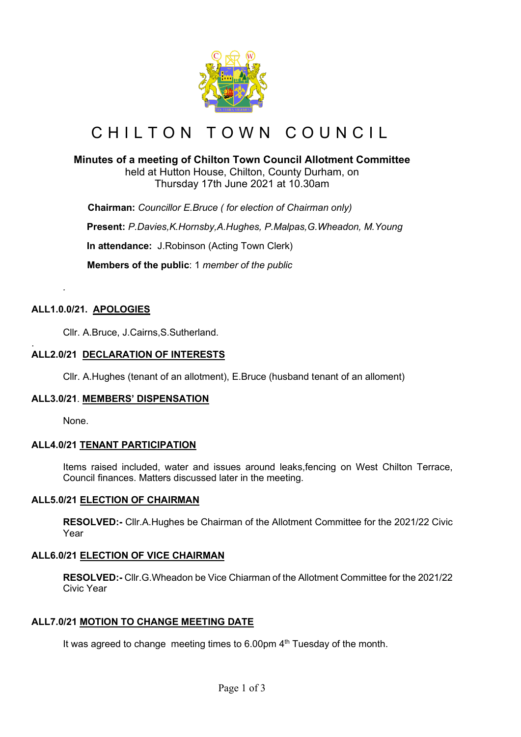

# CHILTON TOWN COUNCIL

## **Minutes of a meeting of Chilton Town Council Allotment Committee**

held at Hutton House, Chilton, County Durham, on Thursday 17th June 2021 at 10.30am

 **Chairman:** *Councillor E.Bruce ( for election of Chairman only)* **Present:** *P.Davies,K.Hornsby,A.Hughes, P.Malpas,G.Wheadon, M.Young* **In attendance:** J.Robinson (Acting Town Clerk)  **Members of the public**: 1 *member of the public*

## **ALL1.0.0/21. APOLOGIES**

*.*

Cllr. A.Bruce, J.Cairns,S.Sutherland.

#### . **ALL2.0/21 DECLARATION OF INTERESTS**

Cllr. A.Hughes (tenant of an allotment), E.Bruce (husband tenant of an alloment)

#### **ALL3.0/21**. **MEMBERS' DISPENSATION**

None.

## **ALL4.0/21 TENANT PARTICIPATION**

Items raised included, water and issues around leaks,fencing on West Chilton Terrace, Council finances. Matters discussed later in the meeting.

#### **ALL5.0/21 ELECTION OF CHAIRMAN**

**RESOLVED:-** Cllr.A.Hughes be Chairman of the Allotment Committee for the 2021/22 Civic Year

#### **ALL6.0/21 ELECTION OF VICE CHAIRMAN**

**RESOLVED:-** Cllr.G.Wheadon be Vice Chiarman of the Allotment Committee for the 2021/22 Civic Year

#### **ALL7.0/21 MOTION TO CHANGE MEETING DATE**

It was agreed to change meeting times to  $6.00 \text{pm}$  4<sup>th</sup> Tuesday of the month.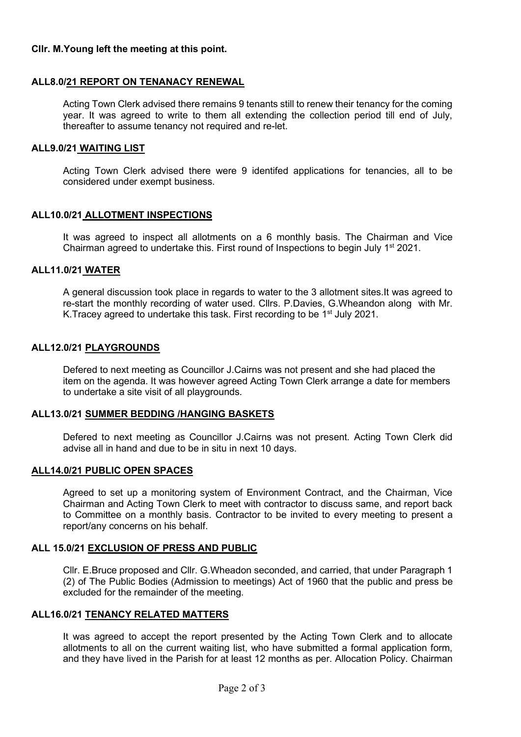#### **Cllr. M.Young left the meeting at this point.**

### **ALL8.0/21 REPORT ON TENANACY RENEWAL**

Acting Town Clerk advised there remains 9 tenants still to renew their tenancy for the coming year. It was agreed to write to them all extending the collection period till end of July, thereafter to assume tenancy not required and re-let.

#### **ALL9.0/21 WAITING LIST**

Acting Town Clerk advised there were 9 identifed applications for tenancies, all to be considered under exempt business.

### **ALL10.0/21 ALLOTMENT INSPECTIONS**

It was agreed to inspect all allotments on a 6 monthly basis. The Chairman and Vice Chairman agreed to undertake this. First round of Inspections to begin July  $1<sup>st</sup> 2021$ .

#### **ALL11.0/21 WATER**

A general discussion took place in regards to water to the 3 allotment sites.It was agreed to re-start the monthly recording of water used. Cllrs. P.Davies, G.Wheandon along with Mr. K. Tracey agreed to undertake this task. First recording to be 1<sup>st</sup> July 2021.

#### **ALL12.0/21 PLAYGROUNDS**

Defered to next meeting as Councillor J.Cairns was not present and she had placed the item on the agenda. It was however agreed Acting Town Clerk arrange a date for members to undertake a site visit of all playgrounds.

#### **ALL13.0/21 SUMMER BEDDING /HANGING BASKETS**

Defered to next meeting as Councillor J.Cairns was not present. Acting Town Clerk did advise all in hand and due to be in situ in next 10 days.

#### **ALL14.0/21 PUBLIC OPEN SPACES**

Agreed to set up a monitoring system of Environment Contract, and the Chairman, Vice Chairman and Acting Town Clerk to meet with contractor to discuss same, and report back to Committee on a monthly basis. Contractor to be invited to every meeting to present a report/any concerns on his behalf.

#### **ALL 15.0/21 EXCLUSION OF PRESS AND PUBLIC**

Cllr. E.Bruce proposed and Cllr. G.Wheadon seconded, and carried, that under Paragraph 1 (2) of The Public Bodies (Admission to meetings) Act of 1960 that the public and press be excluded for the remainder of the meeting.

#### **ALL16.0/21 TENANCY RELATED MATTERS**

It was agreed to accept the report presented by the Acting Town Clerk and to allocate allotments to all on the current waiting list, who have submitted a formal application form, and they have lived in the Parish for at least 12 months as per. Allocation Policy. Chairman